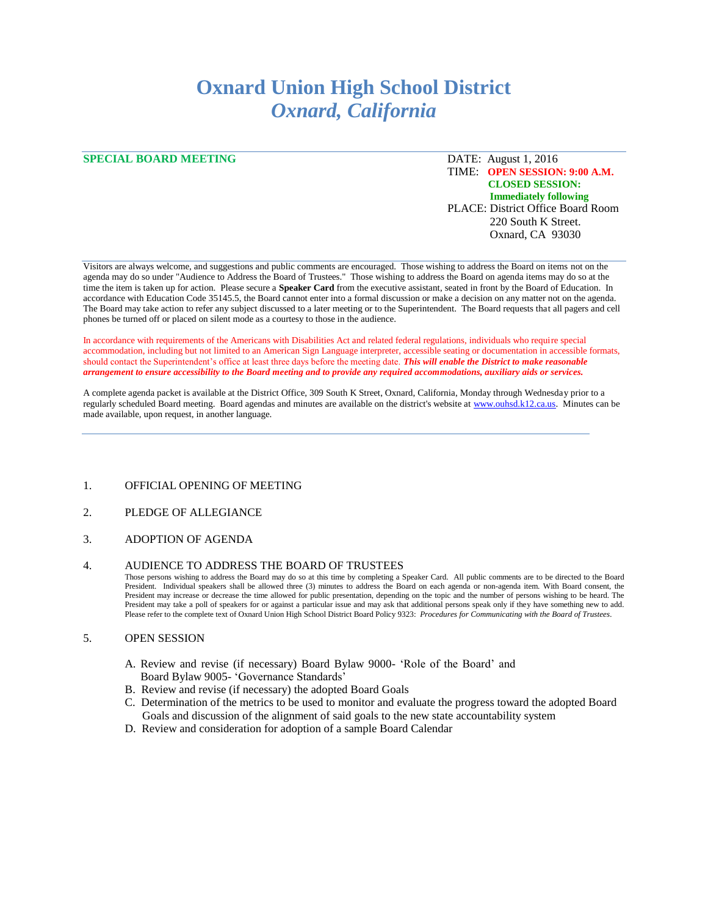# **Oxnard Union High School District** *Oxnard, California*

## **SPECIAL BOARD MEETING** DATE: August 1, 2016

## TIME: **OPEN SESSION: 9:00 A.M. CLOSED SESSION: Immediately following** PLACE: District Office Board Room 220 South K Street. Oxnard, CA 93030

Visitors are always welcome, and suggestions and public comments are encouraged. Those wishing to address the Board on items not on the agenda may do so under "Audience to Address the Board of Trustees." Those wishing to address the Board on agenda items may do so at the time the item is taken up for action. Please secure a **Speaker Card** from the executive assistant, seated in front by the Board of Education. In accordance with Education Code 35145.5, the Board cannot enter into a formal discussion or make a decision on any matter not on the agenda. The Board may take action to refer any subject discussed to a later meeting or to the Superintendent. The Board requests that all pagers and cell phones be turned off or placed on silent mode as a courtesy to those in the audience.

In accordance with requirements of the Americans with Disabilities Act and related federal regulations, individuals who require special accommodation, including but not limited to an American Sign Language interpreter, accessible seating or documentation in accessible formats, should contact the Superintendent's office at least three days before the meeting date. *This will enable the District to make reasonable arrangement to ensure accessibility to the Board meeting and to provide any required accommodations, auxiliary aids or services.* 

A complete agenda packet is available at the District Office, 309 South K Street, Oxnard, California, Monday through Wednesday prior to a regularly scheduled Board meeting. Board agendas and minutes are available on the district's website a[t www.ouhsd.k12.ca.us.](http://www.ouhsd.k12.ca.us/)Minutes can be made available, upon request, in another language.

- 1. OFFICIAL OPENING OF MEETING
- 2. PLEDGE OF ALLEGIANCE
- 3. ADOPTION OF AGENDA

#### 4. AUDIENCE TO ADDRESS THE BOARD OF TRUSTEES

Those persons wishing to address the Board may do so at this time by completing a Speaker Card. All public comments are to be directed to the Board President. Individual speakers shall be allowed three (3) minutes to address the Board on each agenda or non-agenda item. With Board consent, the President may increase or decrease the time allowed for public presentation, depending on the topic and the number of persons wishing to be heard. The President may take a poll of speakers for or against a particular issue and may ask that additional persons speak only if they have something new to add. Please refer to the complete text of Oxnard Union High School District Board Policy 9323: *Procedures for Communicating with the Board of Trustees.*

#### 5. OPEN SESSION

- A. Review and revise (if necessary) Board Bylaw 9000- 'Role of the Board' and Board Bylaw 9005- 'Governance Standards'
- B. Review and revise (if necessary) the adopted Board Goals
- C. Determination of the metrics to be used to monitor and evaluate the progress toward the adopted Board Goals and discussion of the alignment of said goals to the new state accountability system
- D. Review and consideration for adoption of a sample Board Calendar